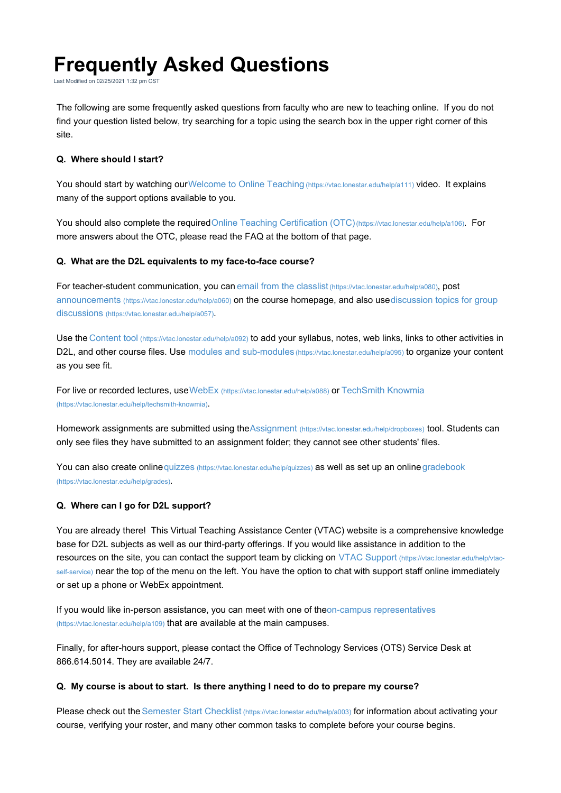# **Frequently Asked Questions**

Last Modified on 02/25/2021 1:32 pm CST

The following are some frequently asked questions from faculty who are new to teaching online. If you do not find your question listed below, try searching for a topic using the search box in the upper right corner of this site.

## **Q. Where should I start?**

You should start by watching our Welcome to Online Teaching (https://vtac.lonestar.edu/help/a111) video. It explains many of the support options available to you.

You should also complete the required Online Teaching Certification (OTC)(https://vtac.lonestar.edu/help/a106). For more answers about the OTC, please read the FAQ at the bottom of that page.

#### **Q. What are the D2L equivalents to my face-to-face course?**

For teacher-student communication, you can email from the classlist (https://vtac.lonestar.edu/help/a080), post announcements (https://vtac.lonestar.edu/help/a060) on the course homepage, and also usediscussion topics for group discussions (https://vtac.lonestar.edu/help/a057).

Use the Content tool (https://vtac.lonestar.edu/help/a092) to add your syllabus, notes, web links, links to other activities in D2L, and other course files. Use modules and sub-modules (https://vtac.lonestar.edu/help/a095) to organize your content as you see fit.

For live or recorded lectures, use WebEx (https://vtac.lonestar.edu/help/a088) or TechSmith Knowmia (https://vtac.lonestar.edu/help/techsmith-knowmia).

Homework assignments are submitted using theAssignment (https://vtac.lonestar.edu/help/dropboxes) tool. Students can only see files they have submitted to an assignment folder; they cannot see other students' files.

You can also create online quizzes (https://vtac.lonestar.edu/help/quizzes) as well as set up an online gradebook (https://vtac.lonestar.edu/help/grades).

#### **Q. Where can I go for D2L support?**

You are already there! This Virtual Teaching Assistance Center (VTAC) website is a comprehensive knowledge base for D2L subjects as well as our third-party offerings. If you would like assistance in addition to the resources on the site, you can contact the support team by clicking on VTAC Support (https://vtac.lonestar.edu/help/vtacself-service) near the top of the menu on the left. You have the option to chat with support staff online immediately or set up a phone or WebEx appointment.

If you would like in-person assistance, you can meet with one of theon-campus representatives (https://vtac.lonestar.edu/help/a109) that are available at the main campuses.

Finally, for after-hours support, please contact the Office of Technology Services (OTS) Service Desk at 866.614.5014. They are available 24/7.

#### **Q. My course is about to start. Is there anything I need to do to prepare my course?**

Please check out the Semester Start Checklist (https://vtac.lonestar.edu/help/a003) for information about activating your course, verifying your roster, and many other common tasks to complete before your course begins.